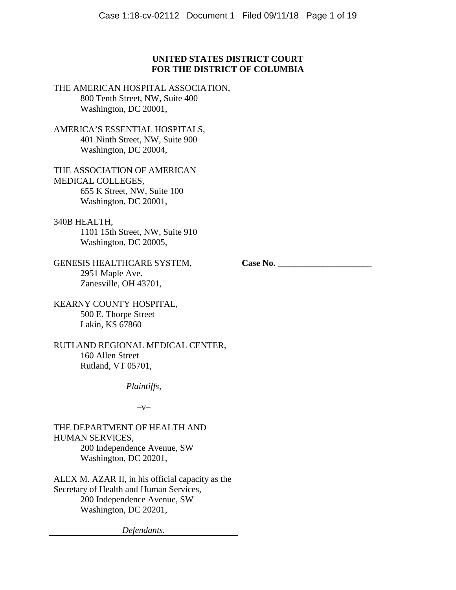# **UNITED STATES DISTRICT COURT FOR THE DISTRICT OF COLUMBIA**

THE AMERICAN HOSPITAL ASSOCIATION, 800 Tenth Street, NW, Suite 400 Washington, DC 20001, AMERICA'S ESSENTIAL HOSPITALS, 401 Ninth Street, NW, Suite 900 Washington, DC 20004, THE ASSOCIATION OF AMERICAN MEDICAL COLLEGES, 655 K Street, NW, Suite 100 Washington, DC 20001, 340B HEALTH, 1101 15th Street, NW, Suite 910 Washington, DC 20005, GENESIS HEALTHCARE SYSTEM, 2951 Maple Ave. Zanesville, OH 43701, KEARNY COUNTY HOSPITAL, 500 E. Thorpe Street Lakin, KS 67860 RUTLAND REGIONAL MEDICAL CENTER, 160 Allen Street Rutland, VT 05701, *Plaintiffs,*   $-V-$ THE DEPARTMENT OF HEALTH AND HUMAN SERVICES, 200 Independence Avenue, SW Washington, DC 20201, ALEX M. AZAR II, in his official capacity as the Secretary of Health and Human Services, 200 Independence Avenue, SW Washington, DC 20201, *Defendants.* 

**Case No. \_\_\_\_\_\_\_\_\_\_\_\_\_\_\_\_\_\_\_\_\_**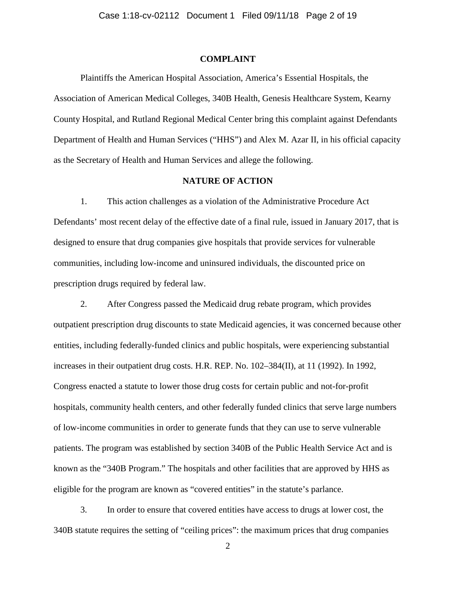## **COMPLAINT**

Plaintiffs the American Hospital Association, America's Essential Hospitals, the Association of American Medical Colleges, 340B Health, Genesis Healthcare System, Kearny County Hospital, and Rutland Regional Medical Center bring this complaint against Defendants Department of Health and Human Services ("HHS") and Alex M. Azar II, in his official capacity as the Secretary of Health and Human Services and allege the following.

### **NATURE OF ACTION**

1. This action challenges as a violation of the Administrative Procedure Act Defendants' most recent delay of the effective date of a final rule, issued in January 2017, that is designed to ensure that drug companies give hospitals that provide services for vulnerable communities, including low-income and uninsured individuals, the discounted price on prescription drugs required by federal law.

2. After Congress passed the Medicaid drug rebate program, which provides outpatient prescription drug discounts to state Medicaid agencies, it was concerned because other entities, including federally-funded clinics and public hospitals, were experiencing substantial increases in their outpatient drug costs. H.R. REP. No. 102–384(II), at 11 (1992). In 1992, Congress enacted a statute to lower those drug costs for certain public and not-for-profit hospitals, community health centers, and other federally funded clinics that serve large numbers of low-income communities in order to generate funds that they can use to serve vulnerable patients. The program was established by section 340B of the Public Health Service Act and is known as the "340B Program." The hospitals and other facilities that are approved by HHS as eligible for the program are known as "covered entities" in the statute's parlance.

3. In order to ensure that covered entities have access to drugs at lower cost, the 340B statute requires the setting of "ceiling prices": the maximum prices that drug companies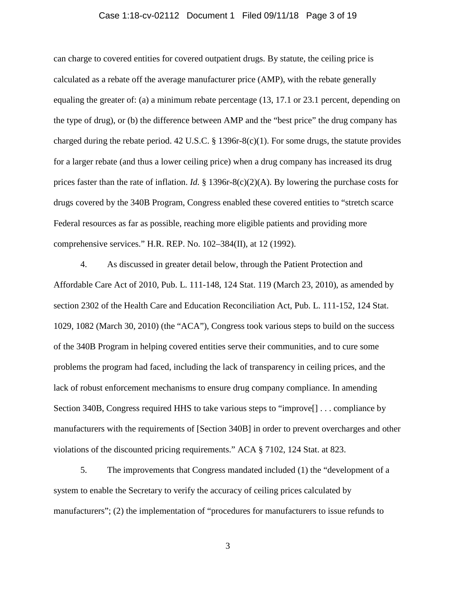### Case 1:18-cv-02112 Document 1 Filed 09/11/18 Page 3 of 19

can charge to covered entities for covered outpatient drugs. By statute, the ceiling price is calculated as a rebate off the average manufacturer price (AMP), with the rebate generally equaling the greater of: (a) a minimum rebate percentage (13, 17.1 or 23.1 percent, depending on the type of drug), or (b) the difference between AMP and the "best price" the drug company has charged during the rebate period. 42 U.S.C. § 1396r-8(c)(1). For some drugs, the statute provides for a larger rebate (and thus a lower ceiling price) when a drug company has increased its drug prices faster than the rate of inflation. *Id.* § 1396r-8(c)(2)(A). By lowering the purchase costs for drugs covered by the 340B Program, Congress enabled these covered entities to "stretch scarce Federal resources as far as possible, reaching more eligible patients and providing more comprehensive services." H.R. REP. No. 102–384(II), at 12 (1992).

4. As discussed in greater detail below, through the Patient Protection and Affordable Care Act of 2010, Pub. L. 111-148, 124 Stat. 119 (March 23, 2010), as amended by section 2302 of the Health Care and Education Reconciliation Act, Pub. L. 111-152, 124 Stat. 1029, 1082 (March 30, 2010) (the "ACA"), Congress took various steps to build on the success of the 340B Program in helping covered entities serve their communities, and to cure some problems the program had faced, including the lack of transparency in ceiling prices, and the lack of robust enforcement mechanisms to ensure drug company compliance. In amending Section 340B, Congress required HHS to take various steps to "improve[] . . . compliance by manufacturers with the requirements of [Section 340B] in order to prevent overcharges and other violations of the discounted pricing requirements." ACA § 7102, 124 Stat. at 823.

5. The improvements that Congress mandated included (1) the "development of a system to enable the Secretary to verify the accuracy of ceiling prices calculated by manufacturers"; (2) the implementation of "procedures for manufacturers to issue refunds to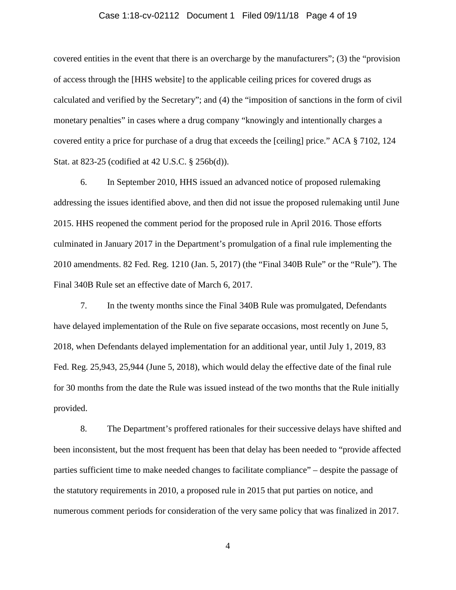### Case 1:18-cv-02112 Document 1 Filed 09/11/18 Page 4 of 19

covered entities in the event that there is an overcharge by the manufacturers"; (3) the "provision of access through the [HHS website] to the applicable ceiling prices for covered drugs as calculated and verified by the Secretary"; and (4) the "imposition of sanctions in the form of civil monetary penalties" in cases where a drug company "knowingly and intentionally charges a covered entity a price for purchase of a drug that exceeds the [ceiling] price." ACA § 7102, 124 Stat. at 823-25 (codified at 42 U.S.C. § 256b(d)).

6. In September 2010, HHS issued an advanced notice of proposed rulemaking addressing the issues identified above, and then did not issue the proposed rulemaking until June 2015. HHS reopened the comment period for the proposed rule in April 2016. Those efforts culminated in January 2017 in the Department's promulgation of a final rule implementing the 2010 amendments. 82 Fed. Reg. 1210 (Jan. 5, 2017) (the "Final 340B Rule" or the "Rule"). The Final 340B Rule set an effective date of March 6, 2017.

7. In the twenty months since the Final 340B Rule was promulgated, Defendants have delayed implementation of the Rule on five separate occasions, most recently on June 5, 2018, when Defendants delayed implementation for an additional year, until July 1, 2019, 83 Fed. Reg. 25,943, 25,944 (June 5, 2018), which would delay the effective date of the final rule for 30 months from the date the Rule was issued instead of the two months that the Rule initially provided.

8. The Department's proffered rationales for their successive delays have shifted and been inconsistent, but the most frequent has been that delay has been needed to "provide affected parties sufficient time to make needed changes to facilitate compliance" – despite the passage of the statutory requirements in 2010, a proposed rule in 2015 that put parties on notice, and numerous comment periods for consideration of the very same policy that was finalized in 2017.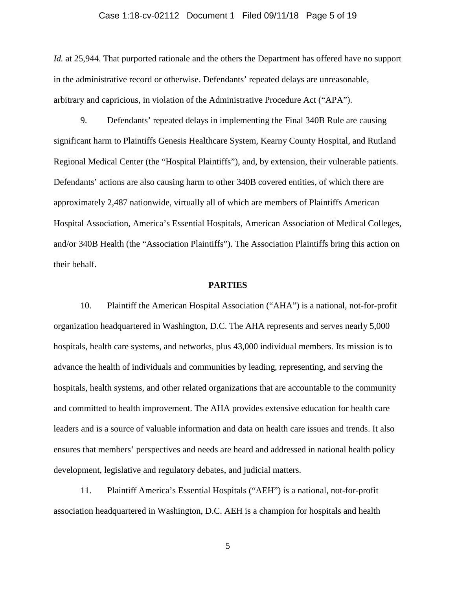### Case 1:18-cv-02112 Document 1 Filed 09/11/18 Page 5 of 19

*Id.* at 25,944. That purported rationale and the others the Department has offered have no support in the administrative record or otherwise. Defendants' repeated delays are unreasonable, arbitrary and capricious, in violation of the Administrative Procedure Act ("APA").

9. Defendants' repeated delays in implementing the Final 340B Rule are causing significant harm to Plaintiffs Genesis Healthcare System, Kearny County Hospital, and Rutland Regional Medical Center (the "Hospital Plaintiffs"), and, by extension, their vulnerable patients. Defendants' actions are also causing harm to other 340B covered entities, of which there are approximately 2,487 nationwide, virtually all of which are members of Plaintiffs American Hospital Association, America's Essential Hospitals, American Association of Medical Colleges, and/or 340B Health (the "Association Plaintiffs"). The Association Plaintiffs bring this action on their behalf.

### **PARTIES**

10. Plaintiff the American Hospital Association ("AHA") is a national, not-for-profit organization headquartered in Washington, D.C. The AHA represents and serves nearly 5,000 hospitals, health care systems, and networks, plus 43,000 individual members. Its mission is to advance the health of individuals and communities by leading, representing, and serving the hospitals, health systems, and other related organizations that are accountable to the community and committed to health improvement. The AHA provides extensive education for health care leaders and is a source of valuable information and data on health care issues and trends. It also ensures that members' perspectives and needs are heard and addressed in national health policy development, legislative and regulatory debates, and judicial matters.

11. Plaintiff America's Essential Hospitals ("AEH") is a national, not-for-profit association headquartered in Washington, D.C. AEH is a champion for hospitals and health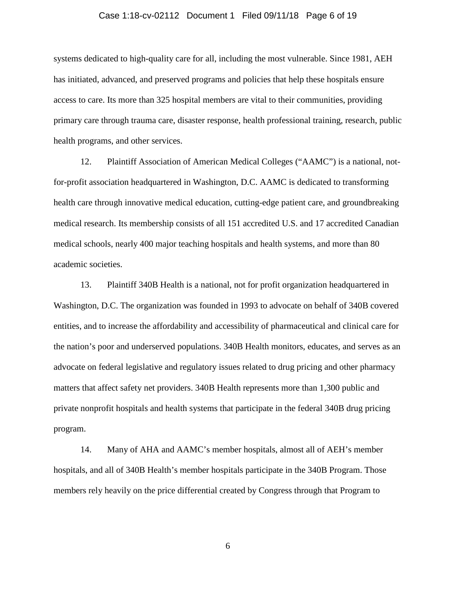### Case 1:18-cv-02112 Document 1 Filed 09/11/18 Page 6 of 19

systems dedicated to high-quality care for all, including the most vulnerable. Since 1981, AEH has initiated, advanced, and preserved programs and policies that help these hospitals ensure access to care. Its more than 325 hospital members are vital to their communities, providing primary care through trauma care, disaster response, health professional training, research, public health programs, and other services.

12. Plaintiff Association of American Medical Colleges ("AAMC") is a national, notfor-profit association headquartered in Washington, D.C. AAMC is dedicated to transforming health care through innovative medical education, cutting-edge patient care, and groundbreaking medical research. Its membership consists of all 151 accredited U.S. and 17 accredited Canadian medical schools, nearly 400 major teaching hospitals and health systems, and more than 80 academic societies.

13. Plaintiff 340B Health is a national, not for profit organization headquartered in Washington, D.C. The organization was founded in 1993 to advocate on behalf of 340B covered entities, and to increase the affordability and accessibility of pharmaceutical and clinical care for the nation's poor and underserved populations. 340B Health monitors, educates, and serves as an advocate on federal legislative and regulatory issues related to drug pricing and other pharmacy matters that affect safety net providers. 340B Health represents more than 1,300 public and private nonprofit hospitals and health systems that participate in the federal 340B drug pricing program.

14. Many of AHA and AAMC's member hospitals, almost all of AEH's member hospitals, and all of 340B Health's member hospitals participate in the 340B Program. Those members rely heavily on the price differential created by Congress through that Program to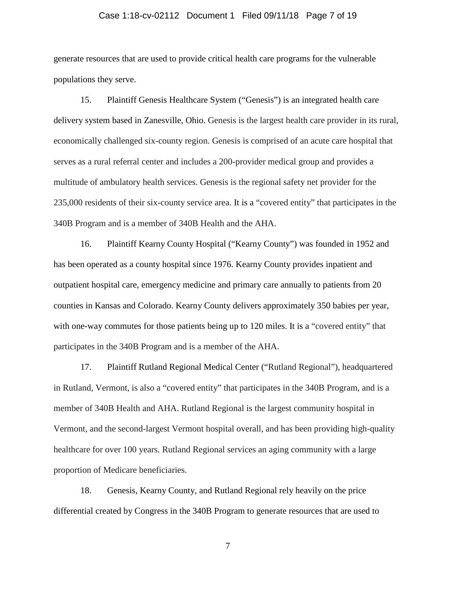### Case 1:18-cv-02112 Document 1 Filed 09/11/18 Page 7 of 19

generate resources that are used to provide critical health care programs for the vulnerable populations they serve.

15. Plaintiff Genesis Healthcare System ("Genesis") is an integrated health care delivery system based in Zanesville, Ohio. Genesis is the largest health care provider in its rural, economically challenged six-county region. Genesis is comprised of an acute care hospital that serves as a rural referral center and includes a 200-provider medical group and provides a multitude of ambulatory health services. Genesis is the regional safety net provider for the 235,000 residents of their six-county service area. It is a "covered entity" that participates in the 340B Program and is a member of 340B Health and the AHA.

16. Plaintiff Kearny County Hospital ("Kearny County") was founded in 1952 and has been operated as a county hospital since 1976. Kearny County provides inpatient and outpatient hospital care, emergency medicine and primary care annually to patients from 20 counties in Kansas and Colorado. Kearny County delivers approximately 350 babies per year, with one-way commutes for those patients being up to 120 miles. It is a "covered entity" that participates in the 340B Program and is a member of the AHA.

17. Plaintiff Rutland Regional Medical Center ("Rutland Regional"), headquartered in Rutland, Vermont, is also a "covered entity" that participates in the 340B Program, and is a member of 340B Health and AHA. Rutland Regional is the largest community hospital in Vermont, and the second-largest Vermont hospital overall, and has been providing high-quality healthcare for over 100 years. Rutland Regional services an aging community with a large proportion of Medicare beneficiaries.

18. Genesis, Kearny County, and Rutland Regional rely heavily on the price differential created by Congress in the 340B Program to generate resources that are used to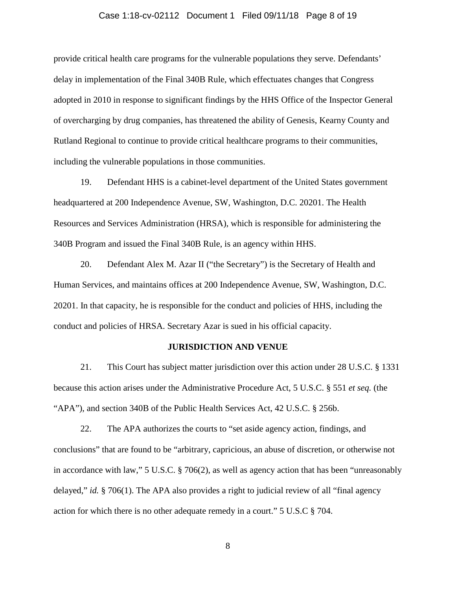### Case 1:18-cv-02112 Document 1 Filed 09/11/18 Page 8 of 19

provide critical health care programs for the vulnerable populations they serve. Defendants' delay in implementation of the Final 340B Rule, which effectuates changes that Congress adopted in 2010 in response to significant findings by the HHS Office of the Inspector General of overcharging by drug companies, has threatened the ability of Genesis, Kearny County and Rutland Regional to continue to provide critical healthcare programs to their communities, including the vulnerable populations in those communities.

19. Defendant HHS is a cabinet-level department of the United States government headquartered at 200 Independence Avenue, SW, Washington, D.C. 20201. The Health Resources and Services Administration (HRSA), which is responsible for administering the 340B Program and issued the Final 340B Rule, is an agency within HHS.

20. Defendant Alex M. Azar II ("the Secretary") is the Secretary of Health and Human Services, and maintains offices at 200 Independence Avenue, SW, Washington, D.C. 20201. In that capacity, he is responsible for the conduct and policies of HHS, including the conduct and policies of HRSA. Secretary Azar is sued in his official capacity.

### **JURISDICTION AND VENUE**

21. This Court has subject matter jurisdiction over this action under 28 U.S.C. § 1331 because this action arises under the Administrative Procedure Act, 5 U.S.C. § 551 *et seq.* (the "APA"), and section 340B of the Public Health Services Act, 42 U.S.C. § 256b.

22. The APA authorizes the courts to "set aside agency action, findings, and conclusions" that are found to be "arbitrary, capricious, an abuse of discretion, or otherwise not in accordance with law," 5 U.S.C. § 706(2), as well as agency action that has been "unreasonably delayed," *id.* § 706(1). The APA also provides a right to judicial review of all "final agency action for which there is no other adequate remedy in a court." 5 U.S.C § 704.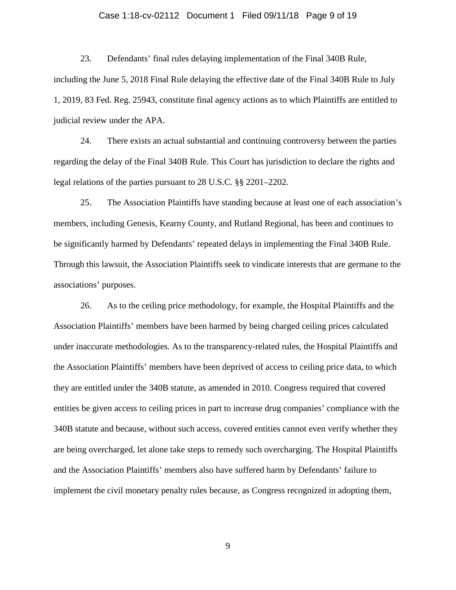### Case 1:18-cv-02112 Document 1 Filed 09/11/18 Page 9 of 19

23. Defendants' final rules delaying implementation of the Final 340B Rule, including the June 5, 2018 Final Rule delaying the effective date of the Final 340B Rule to July 1, 2019, 83 Fed. Reg. 25943, constitute final agency actions as to which Plaintiffs are entitled to judicial review under the APA.

24. There exists an actual substantial and continuing controversy between the parties regarding the delay of the Final 340B Rule. This Court has jurisdiction to declare the rights and legal relations of the parties pursuant to 28 U.S.C. §§ 2201–2202.

25. The Association Plaintiffs have standing because at least one of each association's members, including Genesis, Kearny County, and Rutland Regional, has been and continues to be significantly harmed by Defendants' repeated delays in implementing the Final 340B Rule. Through this lawsuit, the Association Plaintiffs seek to vindicate interests that are germane to the associations' purposes.

26. As to the ceiling price methodology, for example, the Hospital Plaintiffs and the Association Plaintiffs' members have been harmed by being charged ceiling prices calculated under inaccurate methodologies. As to the transparency-related rules, the Hospital Plaintiffs and the Association Plaintiffs' members have been deprived of access to ceiling price data, to which they are entitled under the 340B statute, as amended in 2010. Congress required that covered entities be given access to ceiling prices in part to increase drug companies' compliance with the 340B statute and because, without such access, covered entities cannot even verify whether they are being overcharged, let alone take steps to remedy such overcharging. The Hospital Plaintiffs and the Association Plaintiffs' members also have suffered harm by Defendants' failure to implement the civil monetary penalty rules because, as Congress recognized in adopting them,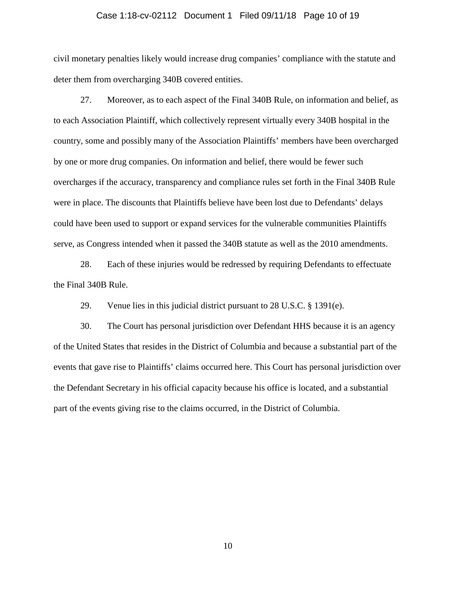### Case 1:18-cv-02112 Document 1 Filed 09/11/18 Page 10 of 19

civil monetary penalties likely would increase drug companies' compliance with the statute and deter them from overcharging 340B covered entities.

27. Moreover, as to each aspect of the Final 340B Rule, on information and belief, as to each Association Plaintiff, which collectively represent virtually every 340B hospital in the country, some and possibly many of the Association Plaintiffs' members have been overcharged by one or more drug companies. On information and belief, there would be fewer such overcharges if the accuracy, transparency and compliance rules set forth in the Final 340B Rule were in place. The discounts that Plaintiffs believe have been lost due to Defendants' delays could have been used to support or expand services for the vulnerable communities Plaintiffs serve, as Congress intended when it passed the 340B statute as well as the 2010 amendments.

28. Each of these injuries would be redressed by requiring Defendants to effectuate the Final 340B Rule.

29. Venue lies in this judicial district pursuant to 28 U.S.C. § 1391(e).

30. The Court has personal jurisdiction over Defendant HHS because it is an agency of the United States that resides in the District of Columbia and because a substantial part of the events that gave rise to Plaintiffs' claims occurred here. This Court has personal jurisdiction over the Defendant Secretary in his official capacity because his office is located, and a substantial part of the events giving rise to the claims occurred, in the District of Columbia.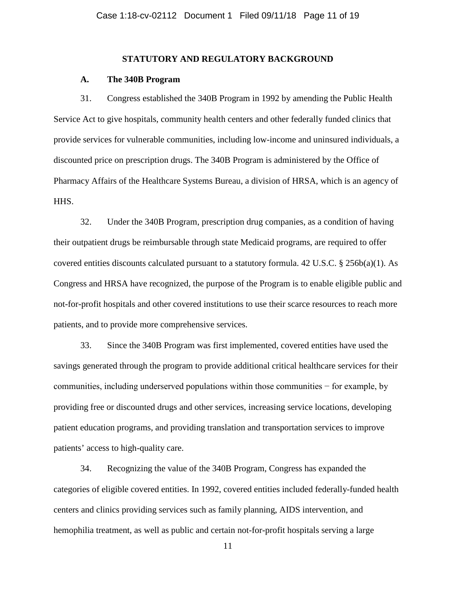### **STATUTORY AND REGULATORY BACKGROUND**

### **A. The 340B Program**

31. Congress established the 340B Program in 1992 by amending the Public Health Service Act to give hospitals, community health centers and other federally funded clinics that provide services for vulnerable communities, including low-income and uninsured individuals, a discounted price on prescription drugs. The 340B Program is administered by the Office of Pharmacy Affairs of the Healthcare Systems Bureau, a division of HRSA, which is an agency of HHS.

32. Under the 340B Program, prescription drug companies, as a condition of having their outpatient drugs be reimbursable through state Medicaid programs, are required to offer covered entities discounts calculated pursuant to a statutory formula.  $42 \text{ U.S.C.}$  §  $256\text{b(a)}(1)$ . As Congress and HRSA have recognized, the purpose of the Program is to enable eligible public and not-for-profit hospitals and other covered institutions to use their scarce resources to reach more patients, and to provide more comprehensive services.

33. Since the 340B Program was first implemented, covered entities have used the savings generated through the program to provide additional critical healthcare services for their communities, including underserved populations within those communities − for example, by providing free or discounted drugs and other services, increasing service locations, developing patient education programs, and providing translation and transportation services to improve patients' access to high-quality care.

34. Recognizing the value of the 340B Program, Congress has expanded the categories of eligible covered entities. In 1992, covered entities included federally-funded health centers and clinics providing services such as family planning, AIDS intervention, and hemophilia treatment, as well as public and certain not-for-profit hospitals serving a large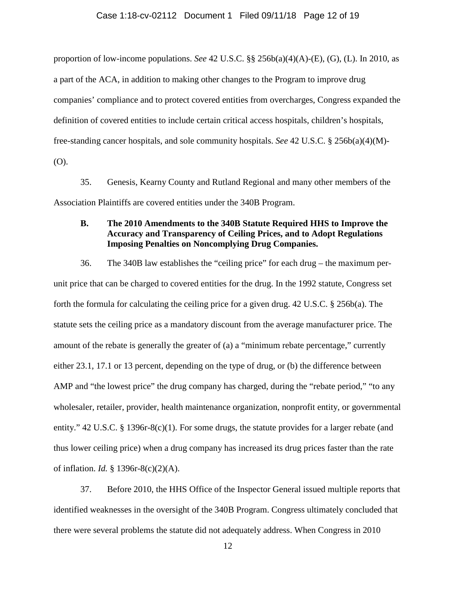### Case 1:18-cv-02112 Document 1 Filed 09/11/18 Page 12 of 19

proportion of low-income populations. *See* 42 U.S.C. §§ 256b(a)(4)(A)-(E), (G), (L). In 2010, as a part of the ACA, in addition to making other changes to the Program to improve drug companies' compliance and to protect covered entities from overcharges, Congress expanded the definition of covered entities to include certain critical access hospitals, children's hospitals, free-standing cancer hospitals, and sole community hospitals. *See* 42 U.S.C. § 256b(a)(4)(M)- (O).

35. Genesis, Kearny County and Rutland Regional and many other members of the Association Plaintiffs are covered entities under the 340B Program.

## **B. The 2010 Amendments to the 340B Statute Required HHS to Improve the Accuracy and Transparency of Ceiling Prices, and to Adopt Regulations Imposing Penalties on Noncomplying Drug Companies.**

36. The 340B law establishes the "ceiling price" for each drug – the maximum perunit price that can be charged to covered entities for the drug. In the 1992 statute, Congress set forth the formula for calculating the ceiling price for a given drug. 42 U.S.C. § 256b(a). The statute sets the ceiling price as a mandatory discount from the average manufacturer price. The amount of the rebate is generally the greater of (a) a "minimum rebate percentage," currently either 23.1, 17.1 or 13 percent, depending on the type of drug, or (b) the difference between AMP and "the lowest price" the drug company has charged, during the "rebate period," "to any wholesaler, retailer, provider, health maintenance organization, nonprofit entity, or governmental entity." 42 U.S.C. § 1396r-8(c)(1). For some drugs, the statute provides for a larger rebate (and thus lower ceiling price) when a drug company has increased its drug prices faster than the rate of inflation. *Id.* § 1396r-8(c)(2)(A).

37. Before 2010, the HHS Office of the Inspector General issued multiple reports that identified weaknesses in the oversight of the 340B Program. Congress ultimately concluded that there were several problems the statute did not adequately address. When Congress in 2010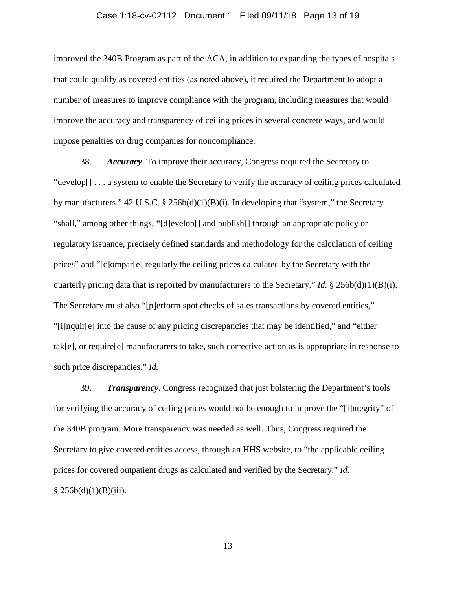### Case 1:18-cv-02112 Document 1 Filed 09/11/18 Page 13 of 19

improved the 340B Program as part of the ACA, in addition to expanding the types of hospitals that could qualify as covered entities (as noted above), it required the Department to adopt a number of measures to improve compliance with the program, including measures that would improve the accuracy and transparency of ceiling prices in several concrete ways, and would impose penalties on drug companies for noncompliance.

38. *Accuracy*. To improve their accuracy, Congress required the Secretary to "develop[] . . . a system to enable the Secretary to verify the accuracy of ceiling prices calculated by manufacturers."  $42 \text{ U.S.C.}$  §  $256\text{bd}(1)(B)(i)$ . In developing that "system," the Secretary "shall," among other things, "[d]evelop[] and publish[] through an appropriate policy or regulatory issuance, precisely defined standards and methodology for the calculation of ceiling prices" and "[c]ompar[e] regularly the ceiling prices calculated by the Secretary with the quarterly pricing data that is reported by manufacturers to the Secretary." *Id.* § 256b(d)(1)(B)(i). The Secretary must also "[p]erform spot checks of sales transactions by covered entities," "[i]nquir[e] into the cause of any pricing discrepancies that may be identified," and "either tak[e], or require[e] manufacturers to take, such corrective action as is appropriate in response to such price discrepancies." *Id.*

39. *Transparency*. Congress recognized that just bolstering the Department's tools for verifying the accuracy of ceiling prices would not be enough to improve the "[i]ntegrity" of the 340B program. More transparency was needed as well. Thus, Congress required the Secretary to give covered entities access, through an HHS website, to "the applicable ceiling prices for covered outpatient drugs as calculated and verified by the Secretary." *Id.*   $§ 256b(d)(1)(B)(iii).$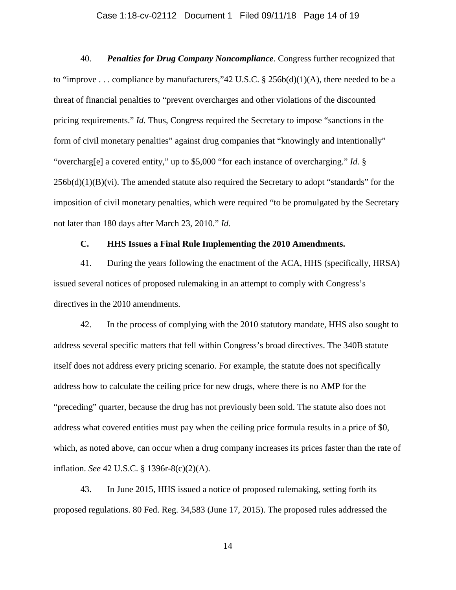### Case 1:18-cv-02112 Document 1 Filed 09/11/18 Page 14 of 19

40. *Penalties for Drug Company Noncompliance*. Congress further recognized that to "improve . . . compliance by manufacturers,"42 U.S.C.  $\S$  256b(d)(1)(A), there needed to be a threat of financial penalties to "prevent overcharges and other violations of the discounted pricing requirements." *Id.* Thus, Congress required the Secretary to impose "sanctions in the form of civil monetary penalties" against drug companies that "knowingly and intentionally" "overcharg[e] a covered entity," up to \$5,000 "for each instance of overcharging." *Id.* §  $256b(d)(1)(B)(vi)$ . The amended statute also required the Secretary to adopt "standards" for the imposition of civil monetary penalties, which were required "to be promulgated by the Secretary not later than 180 days after March 23, 2010." *Id.*

# **C. HHS Issues a Final Rule Implementing the 2010 Amendments.**

41. During the years following the enactment of the ACA, HHS (specifically, HRSA) issued several notices of proposed rulemaking in an attempt to comply with Congress's directives in the 2010 amendments.

42. In the process of complying with the 2010 statutory mandate, HHS also sought to address several specific matters that fell within Congress's broad directives. The 340B statute itself does not address every pricing scenario. For example, the statute does not specifically address how to calculate the ceiling price for new drugs, where there is no AMP for the "preceding" quarter, because the drug has not previously been sold. The statute also does not address what covered entities must pay when the ceiling price formula results in a price of \$0, which, as noted above, can occur when a drug company increases its prices faster than the rate of inflation. *See* 42 U.S.C. § 1396r-8(c)(2)(A).

43. In June 2015, HHS issued a notice of proposed rulemaking, setting forth its proposed regulations. 80 Fed. Reg. 34,583 (June 17, 2015). The proposed rules addressed the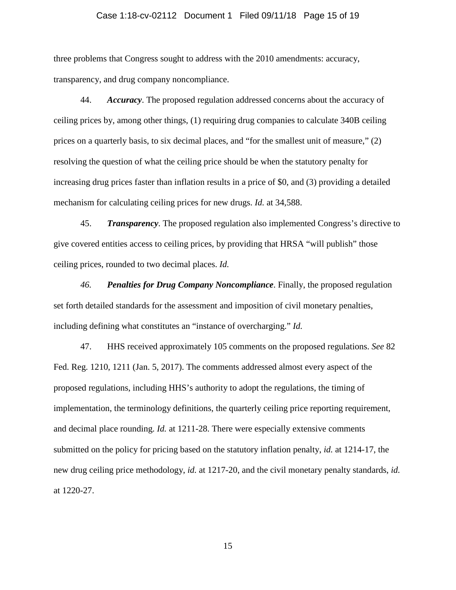### Case 1:18-cv-02112 Document 1 Filed 09/11/18 Page 15 of 19

three problems that Congress sought to address with the 2010 amendments: accuracy, transparency, and drug company noncompliance.

44. *Accuracy*. The proposed regulation addressed concerns about the accuracy of ceiling prices by, among other things, (1) requiring drug companies to calculate 340B ceiling prices on a quarterly basis, to six decimal places, and "for the smallest unit of measure," (2) resolving the question of what the ceiling price should be when the statutory penalty for increasing drug prices faster than inflation results in a price of \$0, and (3) providing a detailed mechanism for calculating ceiling prices for new drugs. *Id.* at 34,588.

45. *Transparency*. The proposed regulation also implemented Congress's directive to give covered entities access to ceiling prices, by providing that HRSA "will publish" those ceiling prices, rounded to two decimal places. *Id.*

*46. Penalties for Drug Company Noncompliance*. Finally, the proposed regulation set forth detailed standards for the assessment and imposition of civil monetary penalties, including defining what constitutes an "instance of overcharging." *Id.*

47. HHS received approximately 105 comments on the proposed regulations. *See* 82 Fed. Reg. 1210, 1211 (Jan. 5, 2017). The comments addressed almost every aspect of the proposed regulations, including HHS's authority to adopt the regulations, the timing of implementation, the terminology definitions, the quarterly ceiling price reporting requirement, and decimal place rounding. *Id.* at 1211-28. There were especially extensive comments submitted on the policy for pricing based on the statutory inflation penalty, *id.* at 1214-17, the new drug ceiling price methodology, *id.* at 1217-20, and the civil monetary penalty standards, *id.*  at 1220-27.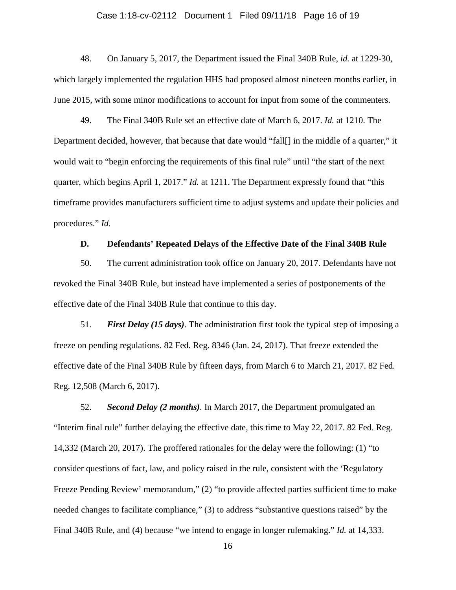### Case 1:18-cv-02112 Document 1 Filed 09/11/18 Page 16 of 19

48. On January 5, 2017, the Department issued the Final 340B Rule, *id.* at 1229-30, which largely implemented the regulation HHS had proposed almost nineteen months earlier, in June 2015, with some minor modifications to account for input from some of the commenters.

49. The Final 340B Rule set an effective date of March 6, 2017. *Id.* at 1210. The Department decided, however, that because that date would "fall[] in the middle of a quarter," it would wait to "begin enforcing the requirements of this final rule" until "the start of the next quarter, which begins April 1, 2017." *Id.* at 1211. The Department expressly found that "this timeframe provides manufacturers sufficient time to adjust systems and update their policies and procedures." *Id.*

## **D. Defendants' Repeated Delays of the Effective Date of the Final 340B Rule**

50. The current administration took office on January 20, 2017. Defendants have not revoked the Final 340B Rule, but instead have implemented a series of postponements of the effective date of the Final 340B Rule that continue to this day.

51. *First Delay (15 days)*. The administration first took the typical step of imposing a freeze on pending regulations. 82 Fed. Reg. 8346 (Jan. 24, 2017). That freeze extended the effective date of the Final 340B Rule by fifteen days, from March 6 to March 21, 2017. 82 Fed. Reg. 12,508 (March 6, 2017).

52. *Second Delay (2 months)*. In March 2017, the Department promulgated an "Interim final rule" further delaying the effective date, this time to May 22, 2017. 82 Fed. Reg. 14,332 (March 20, 2017). The proffered rationales for the delay were the following: (1) "to consider questions of fact, law, and policy raised in the rule, consistent with the 'Regulatory Freeze Pending Review' memorandum," (2) "to provide affected parties sufficient time to make needed changes to facilitate compliance," (3) to address "substantive questions raised" by the Final 340B Rule, and (4) because "we intend to engage in longer rulemaking." *Id.* at 14,333.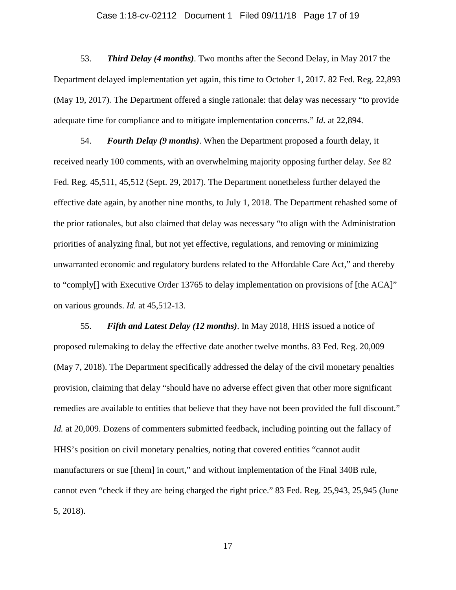### Case 1:18-cv-02112 Document 1 Filed 09/11/18 Page 17 of 19

53. *Third Delay (4 months)*. Two months after the Second Delay, in May 2017 the Department delayed implementation yet again, this time to October 1, 2017. 82 Fed. Reg. 22,893 (May 19, 2017)*.* The Department offered a single rationale: that delay was necessary "to provide adequate time for compliance and to mitigate implementation concerns." *Id.* at 22,894.

54. *Fourth Delay (9 months)*. When the Department proposed a fourth delay, it received nearly 100 comments, with an overwhelming majority opposing further delay. *See* 82 Fed. Reg. 45,511, 45,512 (Sept. 29, 2017). The Department nonetheless further delayed the effective date again, by another nine months, to July 1, 2018. The Department rehashed some of the prior rationales, but also claimed that delay was necessary "to align with the Administration priorities of analyzing final, but not yet effective, regulations, and removing or minimizing unwarranted economic and regulatory burdens related to the Affordable Care Act," and thereby to "comply[] with Executive Order 13765 to delay implementation on provisions of [the ACA]" on various grounds. *Id.* at 45,512-13.

55. *Fifth and Latest Delay (12 months)*. In May 2018, HHS issued a notice of proposed rulemaking to delay the effective date another twelve months. 83 Fed. Reg. 20,009 (May 7, 2018). The Department specifically addressed the delay of the civil monetary penalties provision, claiming that delay "should have no adverse effect given that other more significant remedies are available to entities that believe that they have not been provided the full discount." *Id.* at 20,009. Dozens of commenters submitted feedback, including pointing out the fallacy of HHS's position on civil monetary penalties, noting that covered entities "cannot audit manufacturers or sue [them] in court," and without implementation of the Final 340B rule, cannot even "check if they are being charged the right price." 83 Fed. Reg. 25,943, 25,945 (June 5, 2018).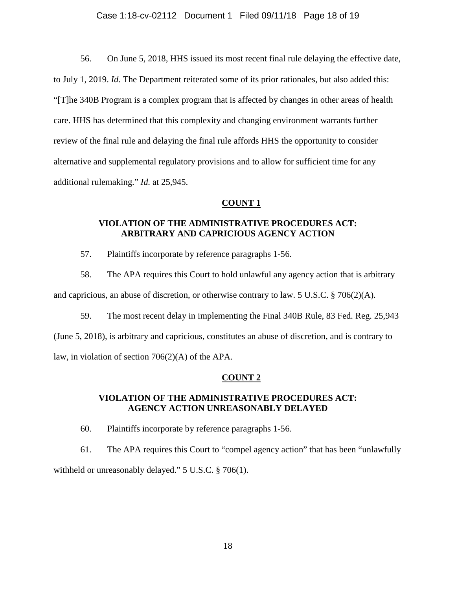### Case 1:18-cv-02112 Document 1 Filed 09/11/18 Page 18 of 19

56. On June 5, 2018, HHS issued its most recent final rule delaying the effective date, to July 1, 2019. *Id*. The Department reiterated some of its prior rationales, but also added this: "[T]he 340B Program is a complex program that is affected by changes in other areas of health care. HHS has determined that this complexity and changing environment warrants further review of the final rule and delaying the final rule affords HHS the opportunity to consider alternative and supplemental regulatory provisions and to allow for sufficient time for any additional rulemaking." *Id.* at 25,945.

### **COUNT 1**

## **VIOLATION OF THE ADMINISTRATIVE PROCEDURES ACT: ARBITRARY AND CAPRICIOUS AGENCY ACTION**

57. Plaintiffs incorporate by reference paragraphs 1-56.

58. The APA requires this Court to hold unlawful any agency action that is arbitrary and capricious, an abuse of discretion, or otherwise contrary to law. 5 U.S.C. § 706(2)(A).

59. The most recent delay in implementing the Final 340B Rule, 83 Fed. Reg. 25,943 (June 5, 2018), is arbitrary and capricious, constitutes an abuse of discretion, and is contrary to law, in violation of section 706(2)(A) of the APA.

## **COUNT 2**

## **VIOLATION OF THE ADMINISTRATIVE PROCEDURES ACT: AGENCY ACTION UNREASONABLY DELAYED**

60. Plaintiffs incorporate by reference paragraphs 1-56.

61. The APA requires this Court to "compel agency action" that has been "unlawfully withheld or unreasonably delayed." 5 U.S.C. § 706(1).